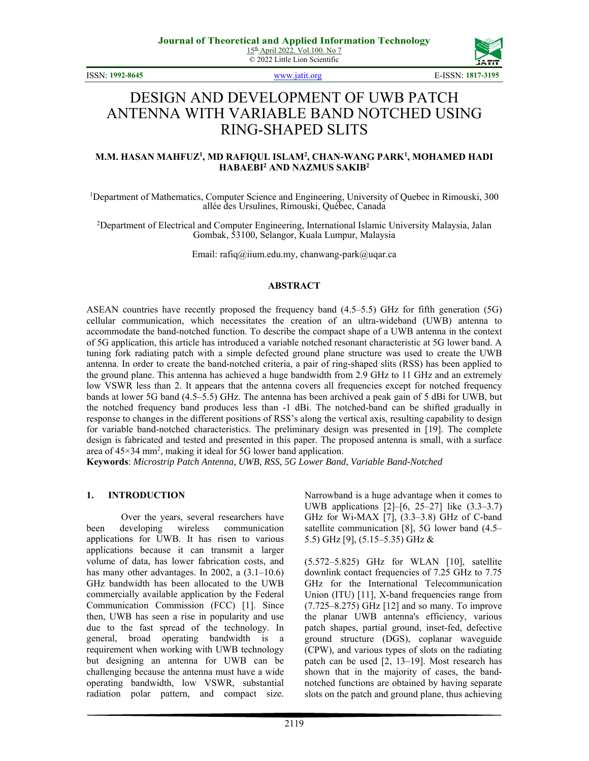© 2022 Little Lion Scientific



ISSN: **1992-8645** www.jatit.org E-ISSN: **1817-3195**

# DESIGN AND DEVELOPMENT OF UWB PATCH ANTENNA WITH VARIABLE BAND NOTCHED USING RING-SHAPED SLITS

#### **M.M. HASAN MAHFUZ1 , MD RAFIQUL ISLAM2 , CHAN-WANG PARK1 , MOHAMED HADI HABAEBI2 AND NAZMUS SAKIB2**

<sup>1</sup>Department of Mathematics, Computer Science and Engineering, University of Quebec in Rimouski, 300 allée des Ursulines, Rimouski, Québec, Canada

<sup>2</sup>Department of Electrical and Computer Engineering, International Islamic University Malaysia, Jalan Gombak, 53100, Selangor, Kuala Lumpur, Malaysia

Email: rafiq@iium.edu.my, chanwang-park@uqar.ca

# **ABSTRACT**

ASEAN countries have recently proposed the frequency band (4.5–5.5) GHz for fifth generation (5G) cellular communication, which necessitates the creation of an ultra-wideband (UWB) antenna to accommodate the band-notched function. To describe the compact shape of a UWB antenna in the context of 5G application, this article has introduced a variable notched resonant characteristic at 5G lower band. A tuning fork radiating patch with a simple defected ground plane structure was used to create the UWB antenna. In order to create the band-notched criteria, a pair of ring-shaped slits (RSS) has been applied to the ground plane. This antenna has achieved a huge bandwidth from 2.9 GHz to 11 GHz and an extremely low VSWR less than 2. It appears that the antenna covers all frequencies except for notched frequency bands at lower 5G band (4.5–5.5) GHz. The antenna has been archived a peak gain of 5 dBi for UWB, but the notched frequency band produces less than -1 dBi. The notched-band can be shifted gradually in response to changes in the different positions of RSS's along the vertical axis, resulting capability to design for variable band-notched characteristics. The preliminary design was presented in [19]. The complete design is fabricated and tested and presented in this paper. The proposed antenna is small, with a surface area of 45×34 mm<sup>2</sup>, making it ideal for 5G lower band application.

**Keywords**: *Microstrip Patch Antenna, UWB, RSS, 5G Lower Band, Variable Band-Notched* 

### **1. INTRODUCTION**

Over the years, several researchers have been developing wireless communication applications for UWB. It has risen to various applications because it can transmit a larger volume of data, has lower fabrication costs, and has many other advantages. In 2002, a  $(3.1-10.6)$ GHz bandwidth has been allocated to the UWB commercially available application by the Federal Communication Commission (FCC) [1]. Since then, UWB has seen a rise in popularity and use due to the fast spread of the technology. In general, broad operating bandwidth is a requirement when working with UWB technology but designing an antenna for UWB can be challenging because the antenna must have a wide operating bandwidth, low VSWR, substantial radiation polar pattern, and compact size.

Narrowband is a huge advantage when it comes to UWB applications [2]–[6, 25–27] like (3.3–3.7) GHz for Wi-MAX [7], (3.3–3.8) GHz of C-band satellite communication [8], 5G lower band (4.5– 5.5) GHz [9], (5.15–5.35) GHz &

(5.572–5.825) GHz for WLAN [10], satellite downlink contact frequencies of 7.25 GHz to 7.75 GHz for the International Telecommunication Union (ITU) [11], X-band frequencies range from (7.725–8.275) GHz [12] and so many. To improve the planar UWB antenna's efficiency, various patch shapes, partial ground, inset-fed, defective ground structure (DGS), coplanar waveguide (CPW), and various types of slots on the radiating patch can be used [2, 13–19]. Most research has shown that in the majority of cases, the bandnotched functions are obtained by having separate slots on the patch and ground plane, thus achieving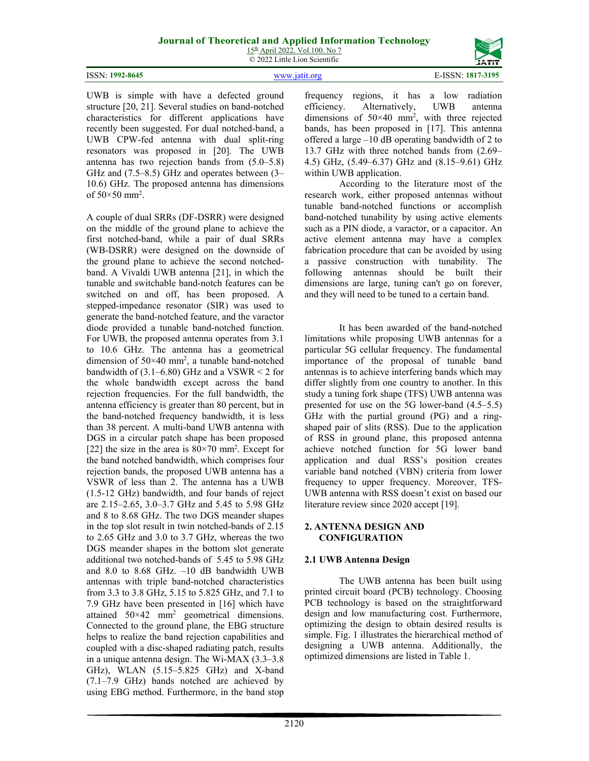15th April 2022. Vol.100. No 7 © 2022 Little Lion Scientific

ISSN: **1992-8645** www.jatit.org E-ISSN: **1817-3195**

UWB is simple with have a defected ground structure [20, 21]. Several studies on band-notched characteristics for different applications have recently been suggested. For dual notched-band, a UWB CPW-fed antenna with dual split-ring resonators was proposed in [20]. The UWB antenna has two rejection bands from (5.0–5.8) GHz and (7.5–8.5) GHz and operates between (3– 10.6) GHz. The proposed antenna has dimensions of  $50 \times 50$  mm<sup>2</sup>.

A couple of dual SRRs (DF-DSRR) were designed on the middle of the ground plane to achieve the first notched-band, while a pair of dual SRRs (WB-DSRR) were designed on the downside of the ground plane to achieve the second notchedband. A Vivaldi UWB antenna [21], in which the tunable and switchable band-notch features can be switched on and off, has been proposed. A stepped-impedance resonator (SIR) was used to generate the band-notched feature, and the varactor diode provided a tunable band-notched function. For UWB, the proposed antenna operates from 3.1 to 10.6 GHz. The antenna has a geometrical dimension of  $50 \times 40$  mm<sup>2</sup>, a tunable band-notched bandwidth of  $(3.1–6.80)$  GHz and a VSWR  $\leq 2$  for the whole bandwidth except across the band rejection frequencies. For the full bandwidth, the antenna efficiency is greater than 80 percent, but in the band-notched frequency bandwidth, it is less than 38 percent. A multi-band UWB antenna with DGS in a circular patch shape has been proposed [22] the size in the area is  $80 \times 70$  mm<sup>2</sup>. Except for the band notched bandwidth, which comprises four rejection bands, the proposed UWB antenna has a VSWR of less than 2. The antenna has a UWB (1.5-12 GHz) bandwidth, and four bands of reject are 2.15–2.65, 3.0–3.7 GHz and 5.45 to 5.98 GHz and 8 to 8.68 GHz. The two DGS meander shapes in the top slot result in twin notched-bands of 2.15 to 2.65 GHz and 3.0 to 3.7 GHz, whereas the two DGS meander shapes in the bottom slot generate additional two notched-bands of 5.45 to 5.98 GHz and 8.0 to 8.68 GHz. –10 dB bandwidth UWB antennas with triple band-notched characteristics from 3.3 to 3.8 GHz, 5.15 to 5.825 GHz, and 7.1 to 7.9 GHz have been presented in [16] which have attained  $50 \times 42$  mm<sup>2</sup> geometrical dimensions. Connected to the ground plane, the EBG structure helps to realize the band rejection capabilities and coupled with a disc-shaped radiating patch, results in a unique antenna design. The Wi-MAX (3.3–3.8 GHz), WLAN (5.15–5.825 GHz) and X-band (7.1–7.9 GHz) bands notched are achieved by using EBG method. Furthermore, in the band stop

frequency regions, it has a low radiation efficiency. Alternatively, UWB antenna dimensions of 50×40 mm2 , with three rejected bands, has been proposed in [17]. This antenna offered a large –10 dB operating bandwidth of 2 to 13.7 GHz with three notched bands from (2.69– 4.5) GHz, (5.49–6.37) GHz and (8.15–9.61) GHz within UWB application.

According to the literature most of the research work, either proposed antennas without tunable band-notched functions or accomplish band-notched tunability by using active elements such as a PIN diode, a varactor, or a capacitor. An active element antenna may have a complex fabrication procedure that can be avoided by using a passive construction with tunability. The following antennas should be built their dimensions are large, tuning can't go on forever, and they will need to be tuned to a certain band.

It has been awarded of the band-notched limitations while proposing UWB antennas for a particular 5G cellular frequency. The fundamental importance of the proposal of tunable band antennas is to achieve interfering bands which may differ slightly from one country to another. In this study a tuning fork shape (TFS) UWB antenna was presented for use on the 5G lower-band (4.5–5.5) GHz with the partial ground (PG) and a ringshaped pair of slits (RSS). Due to the application of RSS in ground plane, this proposed antenna achieve notched function for 5G lower band application and dual RSS's position creates variable band notched (VBN) criteria from lower frequency to upper frequency. Moreover, TFS-UWB antenna with RSS doesn't exist on based our literature review since 2020 accept [19].

#### **2. ANTENNA DESIGN AND CONFIGURATION**

# **2.1 UWB Antenna Design**

The UWB antenna has been built using printed circuit board (PCB) technology. Choosing PCB technology is based on the straightforward design and low manufacturing cost. Furthermore, optimizing the design to obtain desired results is simple. Fig. 1 illustrates the hierarchical method of designing a UWB antenna. Additionally, the optimized dimensions are listed in Table 1.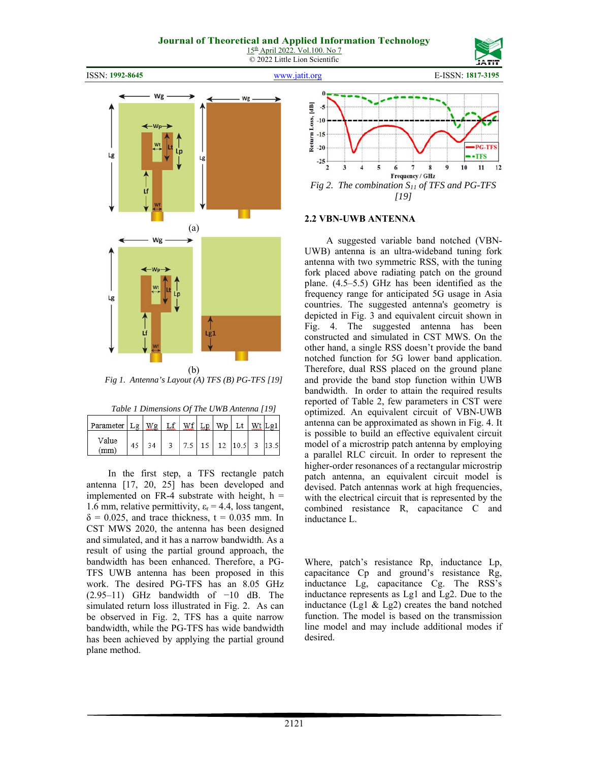15th April 2022. Vol.100. No 7 © 2022 Little Lion Scientific



ISSN: **1992-8645** www.jatit.org E-ISSN: **1817-3195**



*Fig 1. Antenna's Layout (A) TFS (B) PG-TFS [19]*

| Table 1 Dimensions Of The UWB Antenna [19] |  |  |
|--------------------------------------------|--|--|
|                                            |  |  |

| Parameter   Lg |    |  |  |  | $\alpha$ 1 |
|----------------|----|--|--|--|------------|
| Value<br>(mm)  | 2A |  |  |  |            |

 In the first step, a TFS rectangle patch antenna [17, 20, 25] has been developed and implemented on FR-4 substrate with height,  $h =$ 1.6 mm, relative permittivity,  $\varepsilon_r = 4.4$ , loss tangent,  $\delta = 0.025$ , and trace thickness, t = 0.035 mm. In CST MWS 2020, the antenna has been designed and simulated, and it has a narrow bandwidth. As a result of using the partial ground approach, the bandwidth has been enhanced. Therefore, a PG-TFS UWB antenna has been proposed in this work. The desired PG-TFS has an 8.05 GHz (2.95–11) GHz bandwidth of −10 dB. The simulated return loss illustrated in Fig. 2. As can be observed in Fig. 2, TFS has a quite narrow bandwidth, while the PG-TFS has wide bandwidth has been achieved by applying the partial ground plane method.



#### **2.2 VBN-UWB ANTENNA**

 A suggested variable band notched (VBN-UWB) antenna is an ultra-wideband tuning fork antenna with two symmetric RSS, with the tuning fork placed above radiating patch on the ground plane. (4.5–5.5) GHz has been identified as the frequency range for anticipated 5G usage in Asia countries. The suggested antenna's geometry is depicted in Fig. 3 and equivalent circuit shown in Fig. 4. The suggested antenna has been constructed and simulated in CST MWS. On the other hand, a single RSS doesn't provide the band notched function for 5G lower band application. Therefore, dual RSS placed on the ground plane and provide the band stop function within UWB bandwidth. In order to attain the required results reported of Table 2, few parameters in CST were optimized. An equivalent circuit of VBN-UWB antenna can be approximated as shown in Fig. 4. It is possible to build an effective equivalent circuit model of a microstrip patch antenna by employing a parallel RLC circuit. In order to represent the higher-order resonances of a rectangular microstrip patch antenna, an equivalent circuit model is devised. Patch antennas work at high frequencies, with the electrical circuit that is represented by the combined resistance R, capacitance C and inductance L.

Where, patch's resistance Rp, inductance Lp, capacitance Cp and ground's resistance Rg, inductance Lg, capacitance Cg. The RSS's inductance represents as Lg1 and Lg2. Due to the inductance (Lg1 & Lg2) creates the band notched function. The model is based on the transmission line model and may include additional modes if desired.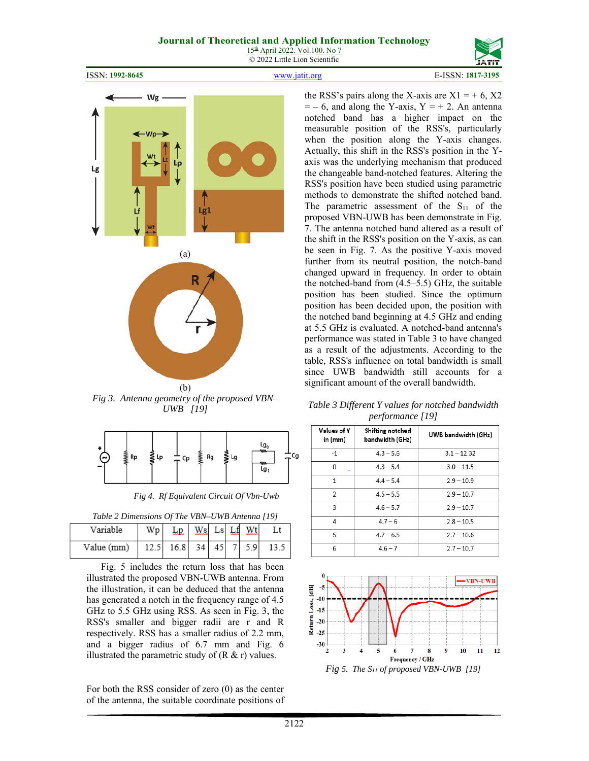15th April 2022. Vol.100. No 7 © 2022 Little Lion Scientific

ISSN: **1992-8645** www.jatit.org E-ISSN: **1817-3195**





*Fig 3. Antenna geometry of the proposed VBN– UWB [19]* 

| ٠ | ≸Rp | ≹ |  | ÷cp 羹购 wsu |  |  |  |
|---|-----|---|--|------------|--|--|--|
|---|-----|---|--|------------|--|--|--|

*Fig 4. Rf Equivalent Circuit Of Vbn-Uwb* 

*Table 2 Dimensions Of The VBN–UWB Antenna [19]*

| Variable   | Wp |      | $\overline{\text{ws}}$ Ls $\overline{\text{Lf}}$ |    | Wt  |  |
|------------|----|------|--------------------------------------------------|----|-----|--|
| Value (mm) |    | 16.8 | 34                                               | 45 | 5.9 |  |

 Fig. 5 includes the return loss that has been illustrated the proposed VBN-UWB antenna. From the illustration, it can be deduced that the antenna has generated a notch in the frequency range of 4.5 GHz to 5.5 GHz using RSS. As seen in Fig. 3, the RSS's smaller and bigger radii are r and R respectively. RSS has a smaller radius of 2.2 mm, and a bigger radius of 6.7 mm and Fig. 6 illustrated the parametric study of  $(R & r)$  values.

For both the RSS consider of zero (0) as the center of the antenna, the suitable coordinate positions of the RSS's pairs along the X-axis are  $X1 = +6$ , X2  $=$  – 6, and along the Y-axis, Y = + 2. An antenna notched band has a higher impact on the measurable position of the RSS's, particularly when the position along the Y-axis changes. Actually, this shift in the RSS's position in the Yaxis was the underlying mechanism that produced the changeable band-notched features. Altering the RSS's position have been studied using parametric methods to demonstrate the shifted notched band. The parametric assessment of the  $S_{11}$  of the proposed VBN-UWB has been demonstrate in Fig. 7. The antenna notched band altered as a result of the shift in the RSS's position on the Y-axis, as can be seen in Fig. 7. As the positive Y-axis moved further from its neutral position, the notch-band changed upward in frequency. In order to obtain the notched-band from (4.5–5.5) GHz, the suitable position has been studied. Since the optimum position has been decided upon, the position with the notched band beginning at 4.5 GHz and ending at 5.5 GHz is evaluated. A notched-band antenna's performance was stated in Table 3 to have changed as a result of the adjustments. According to the table, RSS's influence on total bandwidth is small since UWB bandwidth still accounts for a significant amount of the overall bandwidth.

| Values of Y<br>in (mm) | Shifting notched<br>bandwidth (GHz) | UWB bandwidth (GHz) |
|------------------------|-------------------------------------|---------------------|
| $-1$                   | $4.3 - 5.6$                         | $3.1 - 12.32$       |
| 0                      | $4.3 - 5.4$                         | $3.0 - 11.5$        |
| $\mathbf{1}$           | $4.4 - 5.4$                         | $2.9 - 10.9$        |
| 2                      | $4.5 - 5.5$                         | $2.9 - 10.7$        |
| 3                      | $4.6 - 5.7$                         | $2.9 - 10.7$        |
| 4                      | $4.7 - 6$                           | $2.8 - 10.5$        |
| 5                      | $4.7 - 6.5$                         | $2.7 - 10.6$        |
| 6                      | $4.6 - 7$                           | $2.7 - 10.7$        |

*Table 3 Different Y values for notched bandwidth performance [19]* 



*Fig 5. The S11 of proposed VBN-UWB [19]*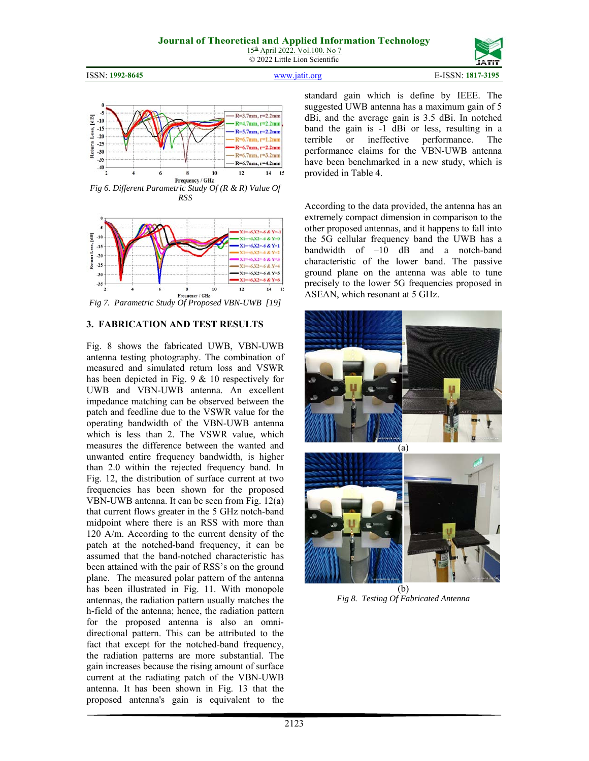15th April 2022. Vol.100. No 7 © 2022 Little Lion Scientific

ISSN: **1992-8645** www.jatit.org E-ISSN: **1817-3195**



*Fig 6. Different Parametric Study Of (R & R) Value Of RSS*



*Fig 7. Parametric Study Of Proposed VBN-UWB [19]*

#### **3. FABRICATION AND TEST RESULTS**

Fig. 8 shows the fabricated UWB, VBN-UWB antenna testing photography. The combination of measured and simulated return loss and VSWR has been depicted in Fig. 9 & 10 respectively for UWB and VBN-UWB antenna. An excellent impedance matching can be observed between the patch and feedline due to the VSWR value for the operating bandwidth of the VBN-UWB antenna which is less than 2. The VSWR value, which measures the difference between the wanted and unwanted entire frequency bandwidth, is higher than 2.0 within the rejected frequency band. In Fig. 12, the distribution of surface current at two frequencies has been shown for the proposed VBN-UWB antenna. It can be seen from Fig. 12(a) that current flows greater in the 5 GHz notch-band midpoint where there is an RSS with more than 120 A/m. According to the current density of the patch at the notched-band frequency, it can be assumed that the band-notched characteristic has been attained with the pair of RSS's on the ground plane. The measured polar pattern of the antenna has been illustrated in Fig. 11. With monopole antennas, the radiation pattern usually matches the h-field of the antenna; hence, the radiation pattern for the proposed antenna is also an omnidirectional pattern. This can be attributed to the fact that except for the notched-band frequency, the radiation patterns are more substantial. The gain increases because the rising amount of surface current at the radiating patch of the VBN-UWB antenna. It has been shown in Fig. 13 that the proposed antenna's gain is equivalent to the

standard gain which is define by IEEE. The suggested UWB antenna has a maximum gain of 5 dBi, and the average gain is 3.5 dBi. In notched band the gain is -1 dBi or less, resulting in a terrible or ineffective performance. The performance claims for the VBN-UWB antenna have been benchmarked in a new study, which is provided in Table 4.

According to the data provided, the antenna has an extremely compact dimension in comparison to the other proposed antennas, and it happens to fall into the 5G cellular frequency band the UWB has a bandwidth of –10 dB and a notch-band characteristic of the lower band. The passive ground plane on the antenna was able to tune precisely to the lower 5G frequencies proposed in ASEAN, which resonant at 5 GHz.



(b) *Fig 8. Testing Of Fabricated Antenna*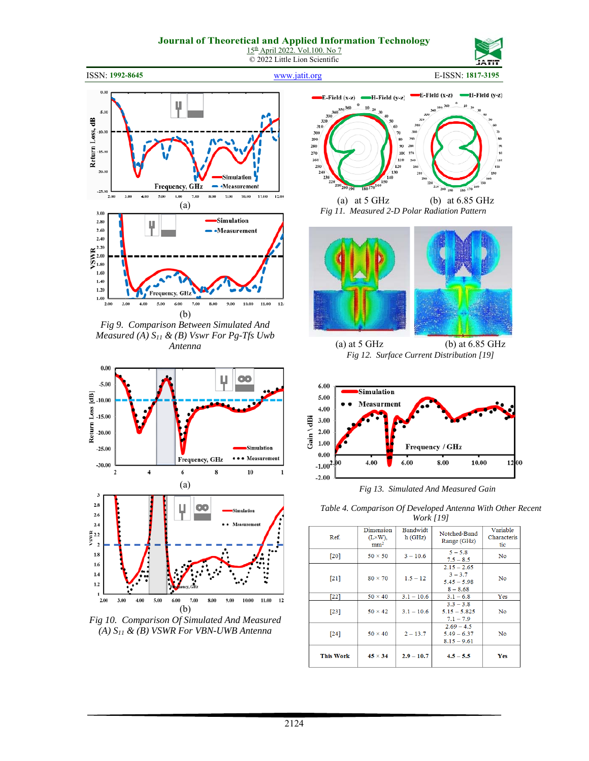



ISSN: **1992-8645** www.jatit.org E-ISSN: **1817-3195**



*Fig 9. Comparison Between Simulated And Measured (A) S11 & (B) Vswr For Pg-Tfs Uwb Antenna* 







(a) at 5 GHz (b) at 6.85 GHz *Fig 11. Measured 2-D Polar Radiation Pattern*



(a) at 5 GHz (b) at 6.85 GHz *Fig 12. Surface Current Distribution [19]*



*Fig 13. Simulated And Measured Gain*

*Table 4. Comparison Of Developed Antenna With Other Recent Work [19]* 

|                    | 11011111111                                      |                    |                                                           |                                |  |  |  |
|--------------------|--------------------------------------------------|--------------------|-----------------------------------------------------------|--------------------------------|--|--|--|
| Ref.               | Dimension<br>$(L \times W)$ ,<br>mm <sup>2</sup> | Bandwidt<br>h(GHz) | Notched-Band<br>Range (GHz)                               | Variable<br>Characteris<br>tic |  |  |  |
| $\lceil 20 \rceil$ | $50 \times 50$                                   | $3 - 10.6$         | $5 - 5.8$<br>$7.5 - 8.5$                                  | N <sub>0</sub>                 |  |  |  |
| $[21]$             | $80 \times 70$                                   | $1.5 - 12$         | $2.15 - 2.65$<br>$3 - 3.7$<br>$5.45 - 5.98$<br>$8 - 8.68$ | No                             |  |  |  |
| $[22]$             | $50 \times 40$                                   | $3.1 - 10.6$       | $3.1 - 6.8$                                               | Yes                            |  |  |  |
| $[23]$             | $50 \times 42$                                   | $3.1 - 10.6$       | $3.3 - 3.8$<br>$5.15 - 5.825$<br>$7.1 - 7.9$              | N <sub>o</sub>                 |  |  |  |
| [24]               | $50 \times 40$                                   | $2 - 13.7$         | $2.69 - 4.5$<br>$5.49 - 6.37$<br>$8.15 - 9.61$            | No                             |  |  |  |
| <b>This Work</b>   | $45 \times 34$                                   | $2.9 - 10.7$       | $4.5 - 5.5$                                               | Yes                            |  |  |  |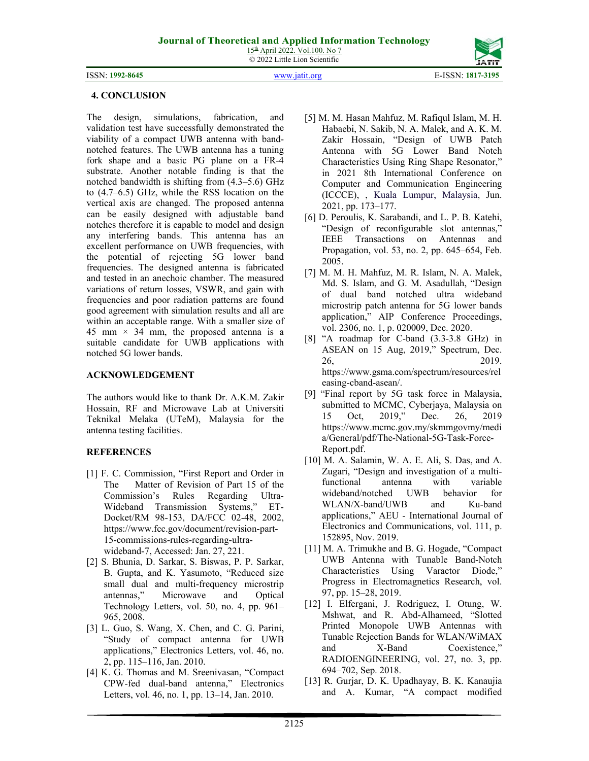© 2022 Little Lion Scientific

ISSN: **1992-8645** www.jatit.org E-ISSN: **1817-3195**



# **4. CONCLUSION**

The design, simulations, fabrication, and validation test have successfully demonstrated the viability of a compact UWB antenna with bandnotched features. The UWB antenna has a tuning fork shape and a basic PG plane on a FR-4 substrate. Another notable finding is that the notched bandwidth is shifting from (4.3–5.6) GHz to (4.7–6.5) GHz, while the RSS location on the vertical axis are changed. The proposed antenna can be easily designed with adjustable band notches therefore it is capable to model and design any interfering bands. This antenna has an excellent performance on UWB frequencies, with the potential of rejecting 5G lower band frequencies. The designed antenna is fabricated and tested in an anechoic chamber. The measured variations of return losses, VSWR, and gain with frequencies and poor radiation patterns are found good agreement with simulation results and all are within an acceptable range. With a smaller size of 45 mm  $\times$  34 mm, the proposed antenna is a suitable candidate for UWB applications with notched 5G lower bands.

### **ACKNOWLEDGEMENT**

The authors would like to thank Dr. A.K.M. Zakir Hossain, RF and Microwave Lab at Universiti Teknikal Melaka (UTeM), Malaysia for the antenna testing facilities.

# **REFERENCES**

- [1] F. C. Commission, "First Report and Order in The Matter of Revision of Part 15 of the Commission's Rules Regarding Ultra-Wideband Transmission Systems," ET-Docket/RM 98-153, DA/FCC 02-48, 2002, https://www.fcc.gov/document/revision-part-15-commissions-rules-regarding-ultrawideband-7, Accessed: Jan. 27, 221.
- [2] S. Bhunia, D. Sarkar, S. Biswas, P. P. Sarkar, B. Gupta, and K. Yasumoto, "Reduced size small dual and multi-frequency microstrip antennas," Microwave and Optical Technology Letters, vol. 50, no. 4, pp. 961– 965, 2008.
- [3] L. Guo, S. Wang, X. Chen, and C. G. Parini, "Study of compact antenna for UWB applications," Electronics Letters, vol. 46, no. 2, pp. 115–116, Jan. 2010.
- [4] K. G. Thomas and M. Sreenivasan, "Compact CPW-fed dual-band antenna," Electronics Letters, vol. 46, no. 1, pp. 13–14, Jan. 2010.
- [5] M. M. Hasan Mahfuz, M. Rafiqul Islam, M. H. Habaebi, N. Sakib, N. A. Malek, and A. K. M. Zakir Hossain, "Design of UWB Patch Antenna with 5G Lower Band Notch Characteristics Using Ring Shape Resonator," in 2021 8th International Conference on Computer and Communication Engineering (ICCCE), , Kuala Lumpur, Malaysia, Jun. 2021, pp. 173–177.
- [6] D. Peroulis, K. Sarabandi, and L. P. B. Katehi, "Design of reconfigurable slot antennas," IEEE Transactions on Antennas and Propagation, vol. 53, no. 2, pp. 645–654, Feb. 2005.
- [7] M. M. H. Mahfuz, M. R. Islam, N. A. Malek, Md. S. Islam, and G. M. Asadullah, "Design of dual band notched ultra wideband microstrip patch antenna for 5G lower bands application," AIP Conference Proceedings, vol. 2306, no. 1, p. 020009, Dec. 2020.
- [8] "A roadmap for C-band (3.3-3.8 GHz) in ASEAN on 15 Aug, 2019," Spectrum, Dec. 26, 2019. https://www.gsma.com/spectrum/resources/rel easing-cband-asean/.
- [9] "Final report by 5G task force in Malaysia, submitted to MCMC, Cyberjaya, Malaysia on 15 Oct, 2019," Dec. 26, 2019 https://www.mcmc.gov.my/skmmgovmy/medi a/General/pdf/The-National-5G-Task-Force-Report.pdf.
- [10] M. A. Salamin, W. A. E. Ali, S. Das, and A. Zugari, "Design and investigation of a multifunctional antenna with variable wideband/notched UWB behavior for WLAN/X-band/UWB and Ku-band applications," AEU - International Journal of Electronics and Communications, vol. 111, p. 152895, Nov. 2019.
- [11] M. A. Trimukhe and B. G. Hogade, "Compact UWB Antenna with Tunable Band-Notch Characteristics Using Varactor Diode," Progress in Electromagnetics Research, vol. 97, pp. 15–28, 2019.
- [12] I. Elfergani, J. Rodriguez, I. Otung, W. Mshwat, and R. Abd-Alhameed, "Slotted Printed Monopole UWB Antennas with Tunable Rejection Bands for WLAN/WiMAX and X-Band Coexistence," RADIOENGINEERING, vol. 27, no. 3, pp. 694–702, Sep. 2018.
- [13] R. Gurjar, D. K. Upadhayay, B. K. Kanaujia and A. Kumar, "A compact modified